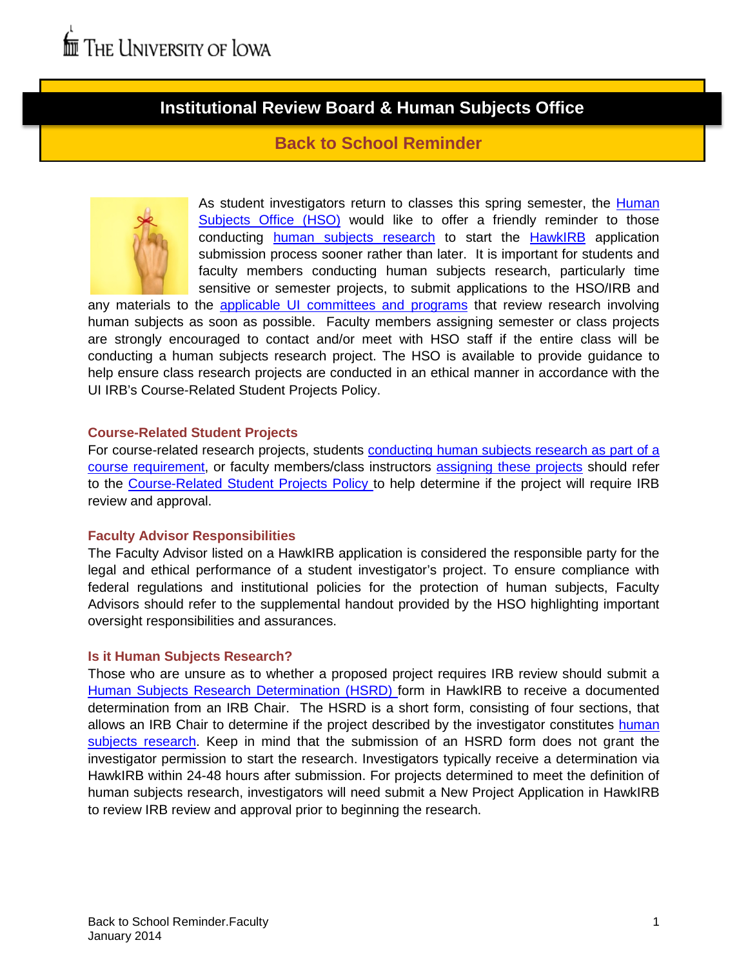# **Institutional Review Board & Human Subjects Office**

# **Back to School Reminder**



As student investigators return to classes this spring semester, the Human [Subjects Office \(HSO\)](http://hso.research.uiowa.edu/) would like to offer a friendly reminder to those conducting [human subjects research](http://hso.research.uiowa.edu/human-subjects-research-determinations) to start the [HawkIRB](https://login.uiowa.edu/uip/login.page?service=https://hawkirb.research.uiowa.edu/hawkirb/inbox.page) application submission process sooner rather than later. It is important for students and faculty members conducting human subjects research, particularly time sensitive or semester projects, to submit applications to the HSO/IRB and

any materials to the [applicable UI committees and programs](http://hso.research.uiowa.edu/other-research-review) that review research involving human subjects as soon as possible. Faculty members assigning semester or class projects are strongly encouraged to contact and/or meet with HSO staff if the entire class will be conducting a human subjects research project. The HSO is available to provide guidance to help ensure class research projects are conducted in an ethical manner in accordance with the UI IRB's Course-Related Student Projects Policy.

## **Course-Related Student Projects**

For course-related research projects, students conducting human subjects research as part of a [course requirement,](http://hso.research.uiowa.edu/resources-students) or faculty members/class instructors [assigning these projects](http://hso.research.uiowa.edu/resources-faculty-staff) should refer to the [Course-Related Student Projects Policy t](http://hso.research.uiowa.edu/files/hso.research.uiowa.edu/files/Course-Related%20Student%20Projects%20Policy.pdf)o help determine if the project will require IRB review and approval.

## **Faculty Advisor Responsibilities**

The Faculty Advisor listed on a HawkIRB application is considered the responsible party for the legal and ethical performance of a student investigator's project. To ensure compliance with federal regulations and institutional policies for the protection of human subjects, Faculty Advisors should refer to the supplemental handout provided by the HSO highlighting important oversight responsibilities and assurances.

## **Is it Human Subjects Research?**

Those who are unsure as to whether a proposed project requires IRB review should submit a [Human Subjects Research Determination \(HSRD\) f](http://hso.research.uiowa.edu/human-subjects-research-determinations)orm in HawkIRB to receive a documented determination from an IRB Chair. The HSRD is a short form, consisting of four sections, that allows an IRB Chair to determine if the project described by the investigator constitutes human [subjects research.](http://www.hhs.gov/ohrp/humansubjects/guidance/45cfr46.html#46.102) Keep in mind that the submission of an HSRD form does not grant the investigator permission to start the research. Investigators typically receive a determination via HawkIRB within 24-48 hours after submission. For projects determined to meet the definition of human subjects research, investigators will need submit a New Project Application in HawkIRB to review IRB review and approval prior to beginning the research.